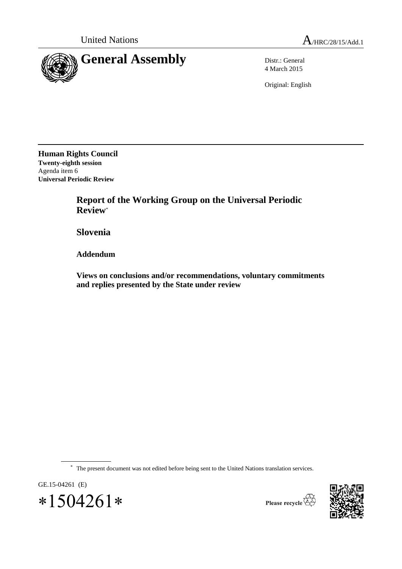

4 March 2015

Original: English

**Human Rights Council Twenty-eighth session** Agenda item 6 **Universal Periodic Review**

> **Report of the Working Group on the Universal Periodic Review**\*

**Slovenia**

**Addendum**

**Views on conclusions and/or recommendations, voluntary commitments and replies presented by the State under review**

\* The present document was not edited before being sent to the United Nations translation services.





Please recycle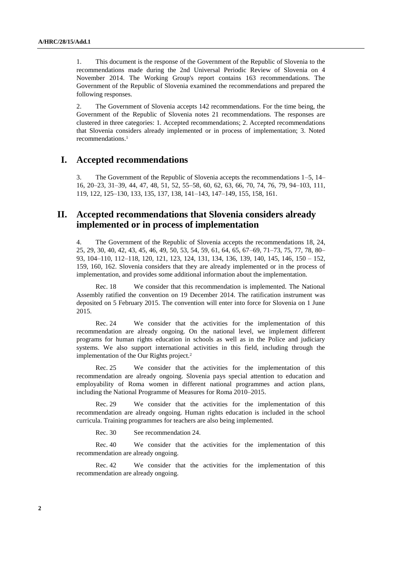1. This document is the response of the Government of the Republic of Slovenia to the recommendations made during the 2nd Universal Periodic Review of Slovenia on 4 November 2014. The Working Group's report contains 163 recommendations. The Government of the Republic of Slovenia examined the recommendations and prepared the following responses.

2. The Government of Slovenia accepts 142 recommendations. For the time being, the Government of the Republic of Slovenia notes 21 recommendations. The responses are clustered in three categories: 1. Accepted recommendations; 2. Accepted recommendations that Slovenia considers already implemented or in process of implementation; 3. Noted recommendations.<sup>1</sup>

## **I. Accepted recommendations**

3. The Government of the Republic of Slovenia accepts the recommendations 1–5, 14– 16, 20–23, 31–39, 44, 47, 48, 51, 52, 55–58, 60, 62, 63, 66, 70, 74, 76, 79, 94–103, 111, 119, 122, 125–130, 133, 135, 137, 138, 141–143, 147–149, 155, 158, 161.

## **II. Accepted recommendations that Slovenia considers already implemented or in process of implementation**

4. The Government of the Republic of Slovenia accepts the recommendations 18, 24, 25, 29, 30, 40, 42, 43, 45, 46, 49, 50, 53, 54, 59, 61, 64, 65, 67–69, 71–73, 75, 77, 78, 80– 93, 104–110, 112–118, 120, 121, 123, 124, 131, 134, 136, 139, 140, 145, 146, 150 – 152, 159, 160, 162. Slovenia considers that they are already implemented or in the process of implementation, and provides some additional information about the implementation.

Rec. 18 We consider that this recommendation is implemented. The National Assembly ratified the convention on 19 December 2014. The ratification instrument was deposited on 5 February 2015. The convention will enter into force for Slovenia on 1 June 2015.

Rec. 24 We consider that the activities for the implementation of this recommendation are already ongoing. On the national level, we implement different programs for human rights education in schools as well as in the Police and judiciary systems. We also support international activities in this field, including through the implementation of the Our Rights project.<sup>2</sup>

Rec. 25 We consider that the activities for the implementation of this recommendation are already ongoing. Slovenia pays special attention to education and employability of Roma women in different national programmes and action plans, including the National Programme of Measures for Roma 2010–2015.

Rec. 29 We consider that the activities for the implementation of this recommendation are already ongoing. Human rights education is included in the school curricula. Training programmes for teachers are also being implemented.

Rec. 30 See recommendation 24.

Rec. 40 We consider that the activities for the implementation of this recommendation are already ongoing.

Rec. 42 We consider that the activities for the implementation of this recommendation are already ongoing.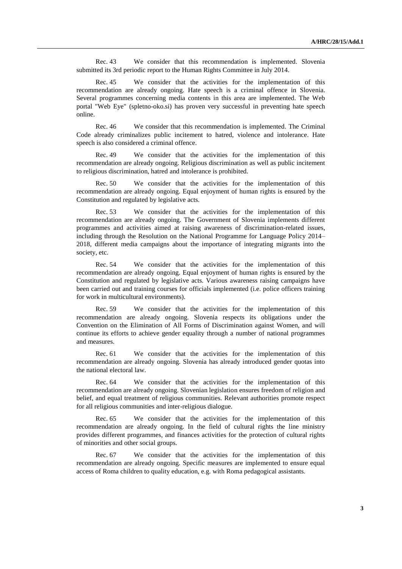Rec. 43 We consider that this recommendation is implemented. Slovenia submitted its 3rd periodic report to the Human Rights Committee in July 2014.

Rec. 45 We consider that the activities for the implementation of this recommendation are already ongoing. Hate speech is a criminal offence in Slovenia. Several programmes concerning media contents in this area are implemented. The Web portal "Web Eye" (spletno-oko.si) has proven very successful in preventing hate speech online.

Rec. 46 We consider that this recommendation is implemented. The Criminal Code already criminalizes public incitement to hatred, violence and intolerance. Hate speech is also considered a criminal offence.

Rec. 49 We consider that the activities for the implementation of this recommendation are already ongoing. Religious discrimination as well as public incitement to religious discrimination, hatred and intolerance is prohibited.

Rec. 50 We consider that the activities for the implementation of this recommendation are already ongoing. Equal enjoyment of human rights is ensured by the Constitution and regulated by legislative acts.

Rec. 53 We consider that the activities for the implementation of this recommendation are already ongoing. The Government of Slovenia implements different programmes and activities aimed at raising awareness of discrimination-related issues, including through the Resolution on the National Programme for Language Policy 2014– 2018, different media campaigns about the importance of integrating migrants into the society, etc.

Rec. 54 We consider that the activities for the implementation of this recommendation are already ongoing. Equal enjoyment of human rights is ensured by the Constitution and regulated by legislative acts. Various awareness raising campaigns have been carried out and training courses for officials implemented (i.e. police officers training for work in multicultural environments).

Rec. 59 We consider that the activities for the implementation of this recommendation are already ongoing. Slovenia respects its obligations under the Convention on the Elimination of All Forms of Discrimination against Women, and will continue its efforts to achieve gender equality through a number of national programmes and measures.

Rec. 61 We consider that the activities for the implementation of this recommendation are already ongoing. Slovenia has already introduced gender quotas into the national electoral law.

Rec. 64 We consider that the activities for the implementation of this recommendation are already ongoing. Slovenian legislation ensures freedom of religion and belief, and equal treatment of religious communities. Relevant authorities promote respect for all religious communities and inter-religious dialogue.

Rec. 65 We consider that the activities for the implementation of this recommendation are already ongoing. In the field of cultural rights the line ministry provides different programmes, and finances activities for the protection of cultural rights of minorities and other social groups.

Rec. 67 We consider that the activities for the implementation of this recommendation are already ongoing. Specific measures are implemented to ensure equal access of Roma children to quality education, e.g. with Roma pedagogical assistants.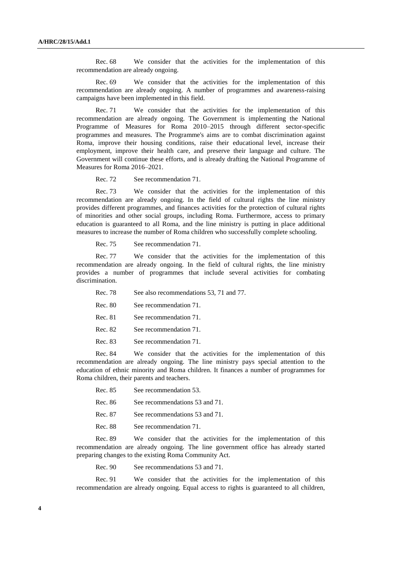Rec. 68 We consider that the activities for the implementation of this recommendation are already ongoing.

Rec. 69 We consider that the activities for the implementation of this recommendation are already ongoing. A number of programmes and awareness-raising campaigns have been implemented in this field.

Rec. 71 We consider that the activities for the implementation of this recommendation are already ongoing. The Government is implementing the National Programme of Measures for Roma 2010–2015 through different sector-specific programmes and measures. The Programme's aims are to combat discrimination against Roma, improve their housing conditions, raise their educational level, increase their employment, improve their health care, and preserve their language and culture. The Government will continue these efforts, and is already drafting the National Programme of Measures for Roma 2016–2021.

Rec. 72 See recommendation 71.

Rec. 73 We consider that the activities for the implementation of this recommendation are already ongoing. In the field of cultural rights the line ministry provides different programmes, and finances activities for the protection of cultural rights of minorities and other social groups, including Roma. Furthermore, access to primary education is guaranteed to all Roma, and the line ministry is putting in place additional measures to increase the number of Roma children who successfully complete schooling.

Rec. 75 See recommendation 71.

Rec. 77 We consider that the activities for the implementation of this recommendation are already ongoing. In the field of cultural rights, the line ministry provides a number of programmes that include several activities for combating discrimination.

- Rec. 78 See also recommendations 53, 71 and 77.
- Rec. 80 See recommendation 71.
- Rec. 81 See recommendation 71.
- Rec. 82 See recommendation 71.
- Rec. 83 See recommendation 71.

Rec. 84 We consider that the activities for the implementation of this recommendation are already ongoing. The line ministry pays special attention to the education of ethnic minority and Roma children. It finances a number of programmes for Roma children, their parents and teachers.

| Rec. 85 | See recommendation 53.         |
|---------|--------------------------------|
| Rec. 86 | See recommendations 53 and 71. |
| Rec. 87 | See recommendations 53 and 71. |
| Rec. 88 | See recommendation 71.         |

Rec. 89 We consider that the activities for the implementation of this recommendation are already ongoing. The line government office has already started preparing changes to the existing Roma Community Act.

Rec. 90 See recommendations 53 and 71.

Rec. 91 We consider that the activities for the implementation of this recommendation are already ongoing. Equal access to rights is guaranteed to all children,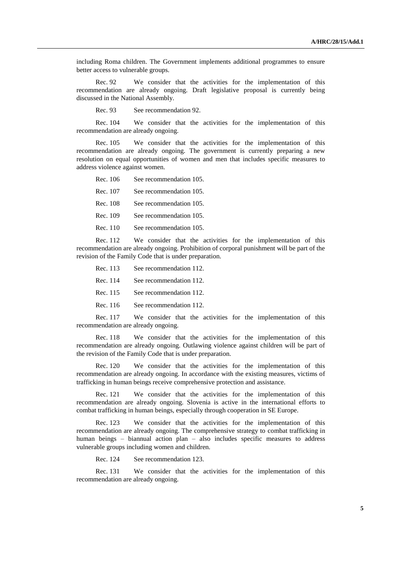including Roma children. The Government implements additional programmes to ensure better access to vulnerable groups.

Rec. 92 We consider that the activities for the implementation of this recommendation are already ongoing. Draft legislative proposal is currently being discussed in the National Assembly.

Rec. 93 See recommendation 92.

Rec. 104 We consider that the activities for the implementation of this recommendation are already ongoing.

Rec. 105 We consider that the activities for the implementation of this recommendation are already ongoing. The government is currently preparing a new resolution on equal opportunities of women and men that includes specific measures to address violence against women.

Rec. 106 See recommendation 105. Rec. 107 See recommendation 105. Rec. 108 See recommendation 105. Rec. 109 See recommendation 105. Rec. 110 See recommendation 105.

Rec. 112 We consider that the activities for the implementation of this recommendation are already ongoing. Prohibition of corporal punishment will be part of the revision of the Family Code that is under preparation.

Rec. 113 See recommendation 112. Rec. 114 See recommendation 112. Rec. 115 See recommendation 112. Rec. 116 See recommendation 112.

Rec. 117 We consider that the activities for the implementation of this recommendation are already ongoing.

Rec. 118 We consider that the activities for the implementation of this recommendation are already ongoing. Outlawing violence against children will be part of the revision of the Family Code that is under preparation.

Rec. 120 We consider that the activities for the implementation of this recommendation are already ongoing. In accordance with the existing measures, victims of trafficking in human beings receive comprehensive protection and assistance.

Rec. 121 We consider that the activities for the implementation of this recommendation are already ongoing. Slovenia is active in the international efforts to combat trafficking in human beings, especially through cooperation in SE Europe.

Rec. 123 We consider that the activities for the implementation of this recommendation are already ongoing. The comprehensive strategy to combat trafficking in human beings – biannual action plan – also includes specific measures to address vulnerable groups including women and children.

Rec. 124 See recommendation 123.

Rec. 131 We consider that the activities for the implementation of this recommendation are already ongoing.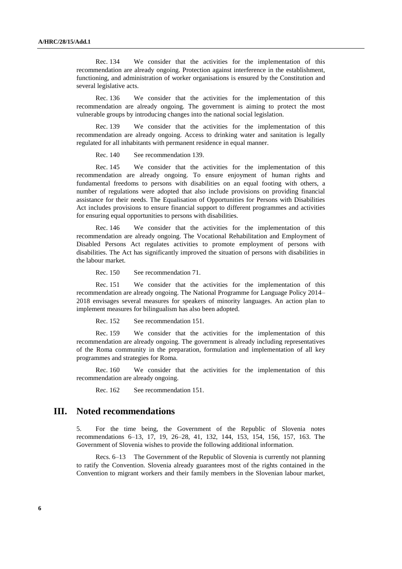Rec. 134 We consider that the activities for the implementation of this recommendation are already ongoing. Protection against interference in the establishment, functioning, and administration of worker organisations is ensured by the Constitution and several legislative acts.

Rec. 136 We consider that the activities for the implementation of this recommendation are already ongoing. The government is aiming to protect the most vulnerable groups by introducing changes into the national social legislation.

Rec. 139 We consider that the activities for the implementation of this recommendation are already ongoing. Access to drinking water and sanitation is legally regulated for all inhabitants with permanent residence in equal manner.

Rec. 140 See recommendation 139.

Rec. 145 We consider that the activities for the implementation of this recommendation are already ongoing. To ensure enjoyment of human rights and fundamental freedoms to persons with disabilities on an equal footing with others, a number of regulations were adopted that also include provisions on providing financial assistance for their needs. The Equalisation of Opportunities for Persons with Disabilities Act includes provisions to ensure financial support to different programmes and activities for ensuring equal opportunities to persons with disabilities.

Rec. 146 We consider that the activities for the implementation of this recommendation are already ongoing. The Vocational Rehabilitation and Employment of Disabled Persons Act regulates activities to promote employment of persons with disabilities. The Act has significantly improved the situation of persons with disabilities in the labour market.

Rec. 150 See recommendation 71.

Rec. 151 We consider that the activities for the implementation of this recommendation are already ongoing. The National Programme for Language Policy 2014– 2018 envisages several measures for speakers of minority languages. An action plan to implement measures for bilingualism has also been adopted.

Rec. 152 See recommendation 151.

Rec. 159 We consider that the activities for the implementation of this recommendation are already ongoing. The government is already including representatives of the Roma community in the preparation, formulation and implementation of all key programmes and strategies for Roma.

Rec. 160 We consider that the activities for the implementation of this recommendation are already ongoing.

Rec. 162 See recommendation 151.

## **III. Noted recommendations**

5. For the time being, the Government of the Republic of Slovenia notes recommendations 6–13, 17, 19, 26–28, 41, 132, 144, 153, 154, 156, 157, 163. The Government of Slovenia wishes to provide the following additional information.

Recs. 6–13 The Government of the Republic of Slovenia is currently not planning to ratify the Convention. Slovenia already guarantees most of the rights contained in the Convention to migrant workers and their family members in the Slovenian labour market,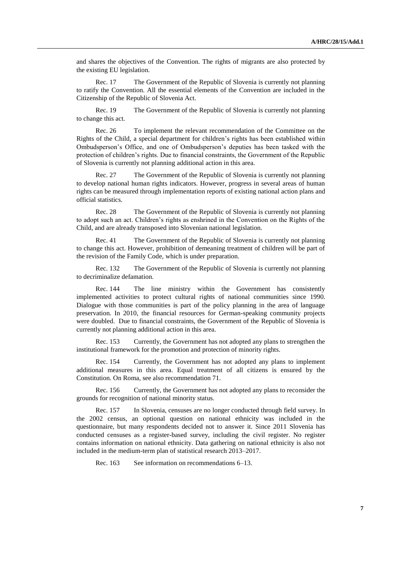and shares the objectives of the Convention. The rights of migrants are also protected by the existing EU legislation.

Rec. 17 The Government of the Republic of Slovenia is currently not planning to ratify the Convention. All the essential elements of the Convention are included in the Citizenship of the Republic of Slovenia Act.

Rec. 19 The Government of the Republic of Slovenia is currently not planning to change this act.

Rec. 26 To implement the relevant recommendation of the Committee on the Rights of the Child, a special department for children's rights has been established within Ombudsperson's Office, and one of Ombudsperson's deputies has been tasked with the protection of children's rights. Due to financial constraints, the Government of the Republic of Slovenia is currently not planning additional action in this area.

Rec. 27 The Government of the Republic of Slovenia is currently not planning to develop national human rights indicators. However, progress in several areas of human rights can be measured through implementation reports of existing national action plans and official statistics.

Rec. 28 The Government of the Republic of Slovenia is currently not planning to adopt such an act. Children's rights as enshrined in the Convention on the Rights of the Child, and are already transposed into Slovenian national legislation.

Rec. 41 The Government of the Republic of Slovenia is currently not planning to change this act. However, prohibition of demeaning treatment of children will be part of the revision of the Family Code, which is under preparation.

Rec. 132 The Government of the Republic of Slovenia is currently not planning to decriminalize defamation.

Rec. 144 The line ministry within the Government has consistently implemented activities to protect cultural rights of national communities since 1990. Dialogue with those communities is part of the policy planning in the area of language preservation. In 2010, the financial resources for German-speaking community projects were doubled. Due to financial constraints, the Government of the Republic of Slovenia is currently not planning additional action in this area.

Rec. 153 Currently, the Government has not adopted any plans to strengthen the institutional framework for the promotion and protection of minority rights.

Rec. 154 Currently, the Government has not adopted any plans to implement additional measures in this area. Equal treatment of all citizens is ensured by the Constitution. On Roma, see also recommendation 71.

Rec. 156 Currently, the Government has not adopted any plans to reconsider the grounds for recognition of national minority status.

Rec. 157 In Slovenia, censuses are no longer conducted through field survey. In the 2002 census, an optional question on national ethnicity was included in the questionnaire, but many respondents decided not to answer it. Since 2011 Slovenia has conducted censuses as a register-based survey, including the civil register. No register contains information on national ethnicity. Data gathering on national ethnicity is also not included in the medium-term plan of statistical research 2013–2017.

Rec. 163 See information on recommendations 6–13.